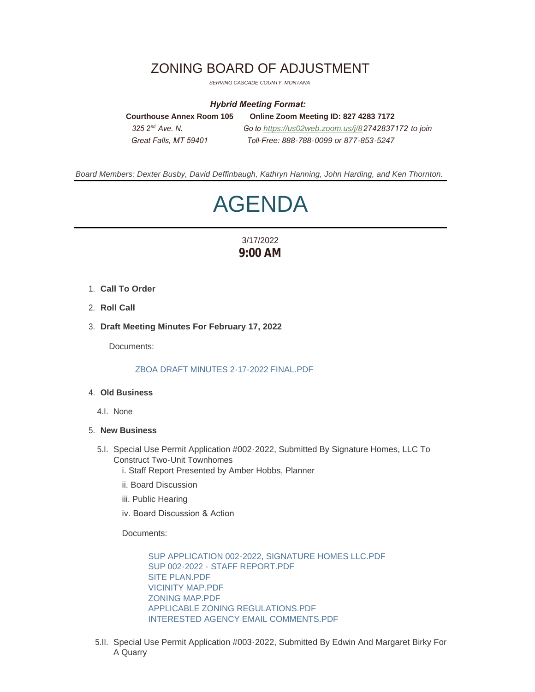## ZONING BOARD OF ADJUSTMENT

*SERVING CASCADE COUNTY, MONTANA*

## *Hybrid Meeting Format:*

**Courthouse Annex Room 105 Online Zoom Meeting ID: 827 4283 7172**  *325 2 Ave. N. Go to [https://us02web.zoom.us/j/8](https://us02web.zoom.us/j/84776106848)2742837172 to join Great Falls, MT 59401 Toll-Free: 888-788-0099 or 877-853-5247* 325.2<sup>nd</sup> Ave N

*Board Members: Dexter Busby, David Deffinbaugh, Kathryn Hanning, John Harding, and Ken Thornton.*

# AGENDA

## 3/17/2022 **9:00 AM**

- **Call To Order** 1.
- 2. **Roll Call**
- **Draft Meeting Minutes For February 17, 2022** 3.

Documents:

[ZBOA DRAFT MINUTES 2-17-2022 FINAL.PDF](https://www.cascadecountymt.gov/AgendaCenter/ViewFile/Item/750?fileID=14825)

### **Old Business** 4.

4.I. None

#### **New Business** 5.

- 5.I. Special Use Permit Application #002-2022, Submitted By Signature Homes, LLC To Construct Two-Unit Townhomes
	- i. Staff Report Presented by Amber Hobbs, Planner
	- ii. Board Discussion
	- iii. Public Hearing
	- iv. Board Discussion & Action

Documents:

[SUP APPLICATION 002-2022, SIGNATURE HOMES LLC.PDF](https://www.cascadecountymt.gov/AgendaCenter/ViewFile/Item/751?fileID=14832) [SUP 002-2022 - STAFF REPORT.PDF](https://www.cascadecountymt.gov/AgendaCenter/ViewFile/Item/751?fileID=14833) [SITE PLAN.PDF](https://www.cascadecountymt.gov/AgendaCenter/ViewFile/Item/751?fileID=14834) [VICINITY MAP.PDF](https://www.cascadecountymt.gov/AgendaCenter/ViewFile/Item/751?fileID=14835) [ZONING MAP.PDF](https://www.cascadecountymt.gov/AgendaCenter/ViewFile/Item/751?fileID=14836) [APPLICABLE ZONING REGULATIONS.PDF](https://www.cascadecountymt.gov/AgendaCenter/ViewFile/Item/751?fileID=14837) [INTERESTED AGENCY EMAIL COMMENTS.PDF](https://www.cascadecountymt.gov/AgendaCenter/ViewFile/Item/751?fileID=14838)

5.II. Special Use Permit Application #003-2022, Submitted By Edwin And Margaret Birky For A Quarry